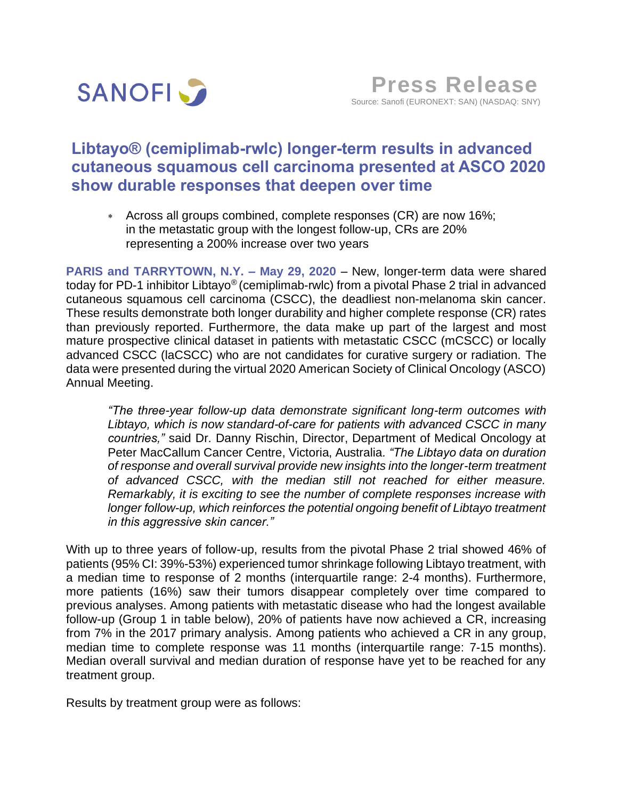

# **Libtayo® (cemiplimab-rwlc) longer-term results in advanced cutaneous squamous cell carcinoma presented at ASCO 2020 show durable responses that deepen over time**

 Across all groups combined, complete responses (CR) are now 16%; in the metastatic group with the longest follow-up, CRs are 20% representing a 200% increase over two years

**PARIS and TARRYTOWN, N.Y. – May 29, 2020** – New, longer-term data were shared today for PD-1 inhibitor Libtayo® (cemiplimab-rwlc) from a pivotal Phase 2 trial in advanced cutaneous squamous cell carcinoma (CSCC), the deadliest non-melanoma skin cancer. These results demonstrate both longer durability and higher complete response (CR) rates than previously reported. Furthermore, the data make up part of the largest and most mature prospective clinical dataset in patients with metastatic CSCC (mCSCC) or locally advanced CSCC (laCSCC) who are not candidates for curative surgery or radiation. The data were presented during the virtual 2020 American Society of Clinical Oncology (ASCO) Annual Meeting.

*"The three-year follow-up data demonstrate significant long-term outcomes with Libtayo, which is now standard-of-care for patients with advanced CSCC in many countries,"* said Dr. Danny Rischin, Director, Department of Medical Oncology at Peter MacCallum Cancer Centre, Victoria, Australia*. "The Libtayo data on duration of response and overall survival provide new insights into the longer-term treatment of advanced CSCC, with the median still not reached for either measure. Remarkably, it is exciting to see the number of complete responses increase with longer follow-up, which reinforces the potential ongoing benefit of Libtayo treatment in this aggressive skin cancer."*

With up to three years of follow-up, results from the pivotal Phase 2 trial showed 46% of patients (95% CI: 39%-53%) experienced tumor shrinkage following Libtayo treatment, with a median time to response of 2 months (interquartile range: 2-4 months). Furthermore, more patients (16%) saw their tumors disappear completely over time compared to previous analyses. Among patients with metastatic disease who had the longest available follow-up (Group 1 in table below), 20% of patients have now achieved a CR, increasing from 7% in the 2017 primary analysis. Among patients who achieved a CR in any group, median time to complete response was 11 months (interquartile range: 7-15 months). Median overall survival and median duration of response have yet to be reached for any treatment group.

Results by treatment group were as follows: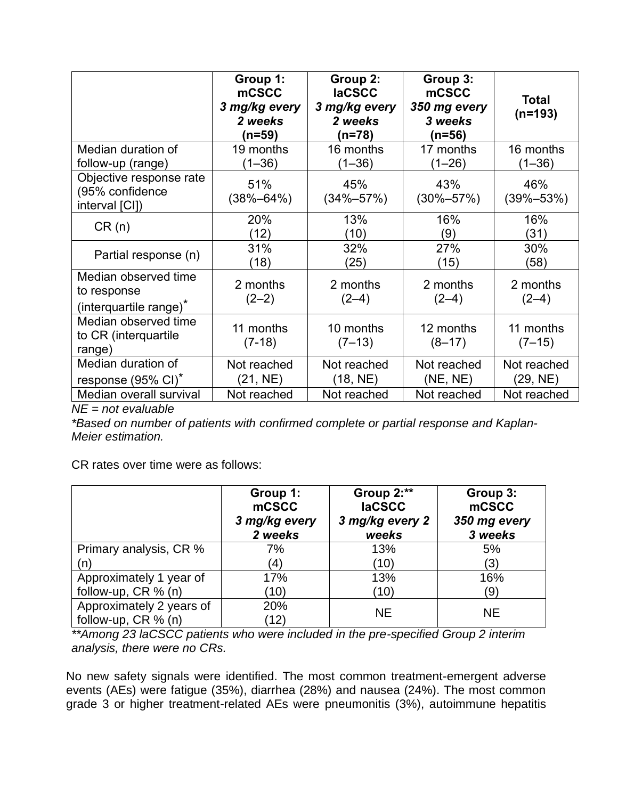|                                                                           | Group 1:<br><b>mCSCC</b><br>3 mg/kg every<br>2 weeks<br>(n=59) | Group 2:<br><b>laCSCC</b><br>3 mg/kg every<br>2 weeks<br>(n=78) | Group 3:<br>mCSCC<br>350 mg every<br>3 weeks<br>(n=56) | <b>Total</b><br>$(n=193)$ |
|---------------------------------------------------------------------------|----------------------------------------------------------------|-----------------------------------------------------------------|--------------------------------------------------------|---------------------------|
| Median duration of<br>follow-up (range)                                   | 19 months<br>$(1 - 36)$                                        | 16 months<br>$(1 - 36)$                                         | 17 months<br>$(1 - 26)$                                | 16 months<br>$(1 - 36)$   |
| Objective response rate<br>(95% confidence<br>interval [CI])              | 51%<br>(38%–64%)                                               | 45%<br>$(34\% - 57\%)$                                          | 43%<br>$(30\% - 57\%)$                                 | 46%<br>$(39\% - 53\%)$    |
| CR(n)                                                                     | 20%<br>(12)                                                    | 13%<br>(10)                                                     | 16%<br>(9)                                             | 16%<br>(31)               |
| Partial response (n)                                                      | 31%<br>(18)                                                    | 32%<br>(25)                                                     | 27%<br>(15)                                            | 30%<br>(58)               |
| Median observed time<br>to response<br>(interquartile range) <sup>*</sup> | 2 months<br>$(2-2)$                                            | 2 months<br>$(2-4)$                                             | 2 months<br>$(2-4)$                                    | 2 months<br>$(2-4)$       |
| Median observed time<br>to CR (interquartile<br>range)                    | 11 months<br>$(7-18)$                                          | 10 months<br>$(7-13)$                                           | 12 months<br>$(8-17)$                                  | 11 months<br>$(7-15)$     |
| Median duration of<br>response (95% CI) <sup>*</sup>                      | Not reached<br>(21, NE)                                        | Not reached<br>(18, NE)                                         | Not reached<br>(NE, NE)                                | Not reached<br>(29, NE)   |
| Median overall survival                                                   | Not reached                                                    | Not reached                                                     | Not reached                                            | Not reached               |

*NE = not evaluable*

*\*Based on number of patients with confirmed complete or partial response and Kaplan-Meier estimation.*

CR rates over time were as follows:

|                          | Group 1:<br>mCSCC<br>3 mg/kg every<br>2 weeks | Group 2:**<br><b>IaCSCC</b><br>3 mg/kg every 2<br>weeks | Group 3:<br>mCSCC<br>350 mg every<br>3 weeks |
|--------------------------|-----------------------------------------------|---------------------------------------------------------|----------------------------------------------|
| Primary analysis, CR %   | 7%                                            | 13%                                                     | 5%                                           |
| (n)                      | (4)                                           | (10)                                                    | (3)                                          |
| Approximately 1 year of  | 17%                                           | 13%                                                     | 16%                                          |
| follow-up, $CR \% (n)$   | (10)                                          | (10)                                                    | (9)                                          |
| Approximately 2 years of | 20%                                           | <b>NE</b>                                               | <b>NE</b>                                    |
| follow-up, $CR \% (n)$   | (12)                                          |                                                         |                                              |

*\*\*Among 23 laCSCC patients who were included in the pre-specified Group 2 interim analysis, there were no CRs.*

No new safety signals were identified. The most common treatment-emergent adverse events (AEs) were fatigue (35%), diarrhea (28%) and nausea (24%). The most common grade 3 or higher treatment-related AEs were pneumonitis (3%), autoimmune hepatitis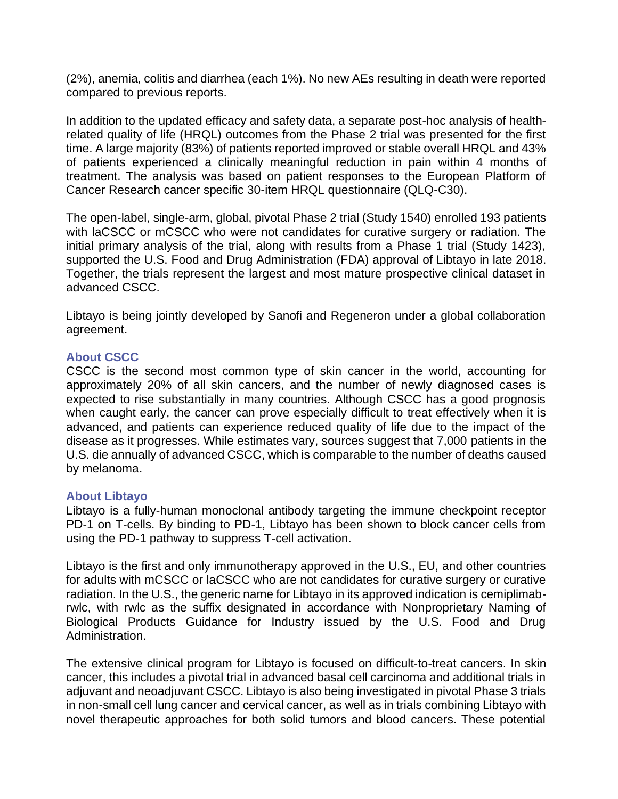(2%), anemia, colitis and diarrhea (each 1%). No new AEs resulting in death were reported compared to previous reports.

In addition to the updated efficacy and safety data, a separate post-hoc analysis of healthrelated quality of life (HRQL) outcomes from the Phase 2 trial was presented for the first time. A large majority (83%) of patients reported improved or stable overall HRQL and 43% of patients experienced a clinically meaningful reduction in pain within 4 months of treatment. The analysis was based on patient responses to the European Platform of Cancer Research cancer specific 30-item HRQL questionnaire (QLQ-C30).

The open-label, single-arm, global, pivotal Phase 2 trial (Study 1540) enrolled 193 patients with laCSCC or mCSCC who were not candidates for curative surgery or radiation. The initial primary analysis of the trial, along with results from a Phase 1 trial (Study 1423), supported the U.S. Food and Drug Administration (FDA) approval of Libtayo in late 2018. Together, the trials represent the largest and most mature prospective clinical dataset in advanced CSCC.

Libtayo is being jointly developed by Sanofi and Regeneron under a global collaboration agreement.

# **About CSCC**

CSCC is the second most common type of skin cancer in the world, accounting for approximately 20% of all skin cancers, and the number of newly diagnosed cases is expected to rise substantially in many countries. Although CSCC has a good prognosis when caught early, the cancer can prove especially difficult to treat effectively when it is advanced, and patients can experience reduced quality of life due to the impact of the disease as it progresses. While estimates vary, sources suggest that 7,000 patients in the U.S. die annually of advanced CSCC, which is comparable to the number of deaths caused by melanoma.

# **About Libtayo**

Libtayo is a fully-human monoclonal antibody targeting the immune checkpoint receptor PD-1 on T-cells. By binding to PD-1, Libtayo has been shown to block cancer cells from using the PD-1 pathway to suppress T-cell activation.

Libtayo is the first and only immunotherapy approved in the U.S., EU, and other countries for adults with mCSCC or laCSCC who are not candidates for curative surgery or curative radiation. In the U.S., the generic name for Libtayo in its approved indication is cemiplimabrwlc, with rwlc as the suffix designated in accordance with Nonproprietary Naming of Biological Products Guidance for Industry issued by the U.S. Food and Drug Administration.

The extensive clinical program for Libtayo is focused on difficult-to-treat cancers. In skin cancer, this includes a pivotal trial in advanced basal cell carcinoma and additional trials in adjuvant and neoadjuvant CSCC. Libtayo is also being investigated in pivotal Phase 3 trials in non-small cell lung cancer and cervical cancer, as well as in trials combining Libtayo with novel therapeutic approaches for both solid tumors and blood cancers. These potential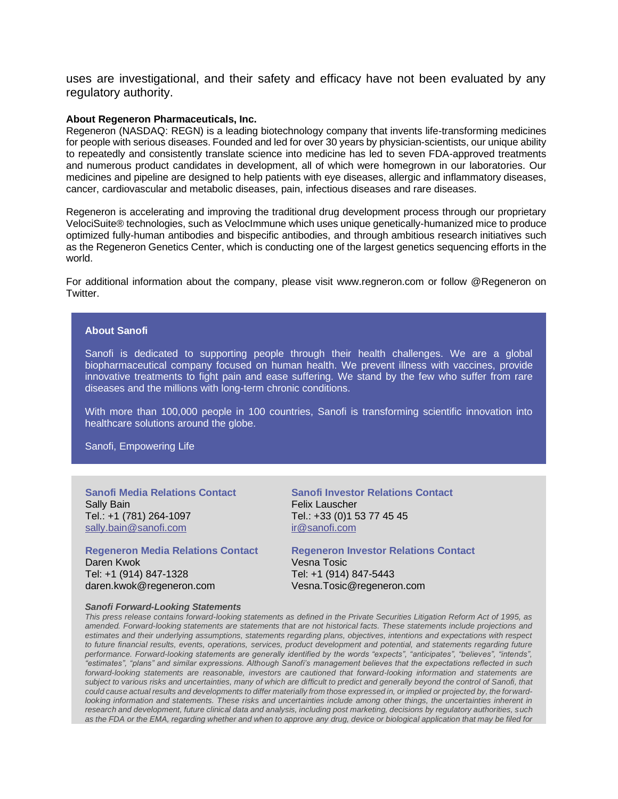uses are investigational, and their safety and efficacy have not been evaluated by any regulatory authority.

### **About Regeneron Pharmaceuticals, Inc.**

Regeneron (NASDAQ: REGN) is a leading biotechnology company that invents life-transforming medicines for people with serious diseases. Founded and led for over 30 years by physician-scientists, our unique ability to repeatedly and consistently translate science into medicine has led to seven FDA-approved treatments and numerous product candidates in development, all of which were homegrown in our laboratories. Our medicines and pipeline are designed to help patients with eye diseases, allergic and inflammatory diseases, cancer, cardiovascular and metabolic diseases, pain, infectious diseases and rare diseases.

Regeneron is accelerating and improving the traditional drug development process through our proprietary VelociSuite® technologies, such as VelocImmune which uses unique genetically-humanized mice to produce optimized fully-human antibodies and bispecific antibodies, and through ambitious research initiatives such as the Regeneron Genetics Center, which is conducting one of the largest genetics sequencing efforts in the world.

For additional information about the company, please visit www.regneron.com or follow @Regeneron on Twitter.

### **About Sanofi**

Sanofi is dedicated to supporting people through their health challenges. We are a global biopharmaceutical company focused on human health. We prevent illness with vaccines, provide innovative treatments to fight pain and ease suffering. We stand by the few who suffer from rare diseases and the millions with long-term chronic conditions.

With more than 100,000 people in 100 countries, Sanofi is transforming scientific innovation into healthcare solutions around the globe.

Sanofi, Empowering Life

**Sanofi Media Relations Contact** Sally Bain Tel.: +1 (781) 264-1097 [sally.bain@sanofi.com](mailto:sally.bain@sanofi.com)

**Regeneron Media Relations Contact** Daren Kwok Tel: +1 (914) 847-1328 daren.kwok@regeneron.com

**Sanofi Investor Relations Contact** Felix Lauscher Tel.: +33 (0)1 53 77 45 45 [ir@sanofi.com](mailto:ir@sanofi.com)

**Regeneron Investor Relations Contact** Vesna Tosic Tel: +1 (914) 847-5443 Vesna.Tosic@regeneron.com

#### *Sanofi Forward-Looking Statements*

*This press release contains forward-looking statements as defined in the Private Securities Litigation Reform Act of 1995, as amended. Forward-looking statements are statements that are not historical facts. These statements include projections and estimates and their underlying assumptions, statements regarding plans, objectives, intentions and expectations with respect to future financial results, events, operations, services, product development and potential, and statements regarding future performance. Forward-looking statements are generally identified by the words "expects", "anticipates", "believes", "intends", "estimates", "plans" and similar expressions. Although Sanofi's management believes that the expectations reflected in such forward-looking statements are reasonable, investors are cautioned that forward-looking information and statements are subject to various risks and uncertainties, many of which are difficult to predict and generally beyond the control of Sanofi, that could cause actual results and developments to differ materially from those expressed in, or implied or projected by, the forwardlooking information and statements. These risks and uncertainties include among other things, the uncertainties inherent in research and development, future clinical data and analysis, including post marketing, decisions by regulatory authorities, such as the FDA or the EMA, regarding whether and when to approve any drug, device or biological application that may be filed for*